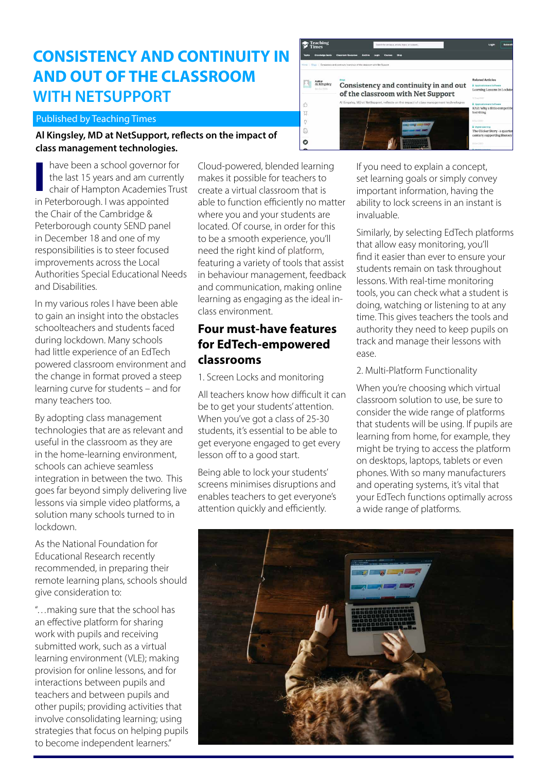# **CONSISTENCY AND CONTINUITY IN AND OUT OF THE CLASSROOM WITH NETSUPPORT**

### Published by Teaching Times

### **Al Kingsley, MD at NetSupport, reflects on the impact of class management technologies.**

have been a school governor for the last 15 years and am currently chair of Hampton Academies Trust **I** in Peterborough. I was appointed the Chair of the Cambridge & Peterborough county SEND panel in December 18 and one of my responsibilities is to steer focused improvements across the Local Authorities Special Educational Needs and Disabilities.

In my various roles I have been able to gain an insight into the obstacles schoolteachers and students faced during lockdown. Many schools had little experience of an EdTech powered classroom environment and the change in format proved a steep learning curve for students – and for many teachers too.

By adopting class management technologies that are as relevant and useful in the classroom as they are in the home-learning environment, schools can achieve seamless integration in between the two. This goes far beyond simply delivering live lessons via simple video platforms, a solution many schools turned to in lockdown.

As the National Foundation for Educational Research recently recommended, in preparing their remote learning plans, schools should give consideration to:

"…making sure that the school has an effective platform for sharing work with pupils and receiving submitted work, such as a virtual learning environment (VLE); making provision for online lessons, and for interactions between pupils and teachers and between pupils and other pupils; providing activities that involve consolidating learning; using strategies that focus on helping pupils to become independent learners."

Cloud-powered, blended learning makes it possible for teachers to create a virtual classroom that is able to function efficiently no matter where you and your students are located. Of course, in order for this to be a smooth experience, you'll need the right kind of [platform](https://classroom.cloud/), featuring a variety of tools that assist in behaviour management, feedback and communication, making online learning as engaging as the ideal inclass environment.

### **Four must-have features for EdTech-empowered classrooms**

1. Screen Locks and monitoring

All teachers know how difficult it can be to get your students' attention. When you've got a class of 25-30 students, it's essential to be able to get everyone engaged to get every lesson off to a good start.

Being able to lock your students' screens minimises disruptions and enables teachers to get everyone's attention quickly and efficiently.



If you need to explain a concept, set learning goals or simply convey important information, having the ability to lock screens in an instant is invaluable.

Similarly, by selecting EdTech platforms that allow easy monitoring, you'll find it easier than ever to ensure your students remain on task throughout lessons. With real-time monitoring tools, you can check what a student is doing, watching or listening to at any time. This gives teachers the tools and authority they need to keep pupils on track and manage their lessons with ease.

### 2. Multi-Platform Functionality

When you're choosing which virtual classroom solution to use, be sure to consider the wide range of platforms that students will be using. If pupils are learning from home, for example, they might be trying to access the platform on desktops, laptops, tablets or even phones. With so many manufacturers and operating systems, it's vital that your EdTech functions optimally across a wide range of platforms.